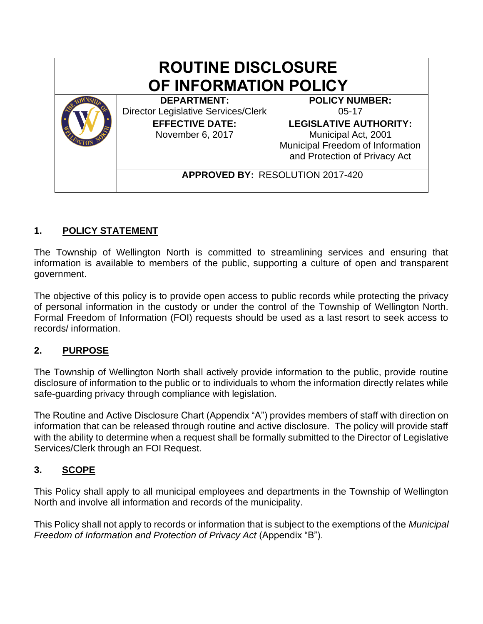| <b>ROUTINE DISCLOSURE</b><br>OF INFORMATION POLICY |                                         |  |  |  |  |
|----------------------------------------------------|-----------------------------------------|--|--|--|--|
| <b>DEPARTMENT:</b>                                 | <b>POLICY NUMBER:</b>                   |  |  |  |  |
| <b>Director Legislative Services/Clerk</b>         | $05-17$                                 |  |  |  |  |
| <b>EFFECTIVE DATE:</b>                             | <b>LEGISLATIVE AUTHORITY:</b>           |  |  |  |  |
| November 6, 2017                                   | Municipal Act, 2001                     |  |  |  |  |
|                                                    | Municipal Freedom of Information        |  |  |  |  |
|                                                    | and Protection of Privacy Act           |  |  |  |  |
|                                                    | <b>APPROVED BY: RESOLUTION 2017-420</b> |  |  |  |  |

# **1. POLICY STATEMENT**

The Township of Wellington North is committed to streamlining services and ensuring that information is available to members of the public, supporting a culture of open and transparent government.

The objective of this policy is to provide open access to public records while protecting the privacy of personal information in the custody or under the control of the Township of Wellington North. Formal Freedom of Information (FOI) requests should be used as a last resort to seek access to records/ information.

# **2. PURPOSE**

The Township of Wellington North shall actively provide information to the public, provide routine disclosure of information to the public or to individuals to whom the information directly relates while safe-guarding privacy through compliance with legislation.

The Routine and Active Disclosure Chart (Appendix "A") provides members of staff with direction on information that can be released through routine and active disclosure. The policy will provide staff with the ability to determine when a request shall be formally submitted to the Director of Legislative Services/Clerk through an FOI Request.

## **3. SCOPE**

This Policy shall apply to all municipal employees and departments in the Township of Wellington North and involve all information and records of the municipality.

This Policy shall not apply to records or information that is subject to the exemptions of the *Municipal Freedom of Information and Protection of Privacy Act* (Appendix "B").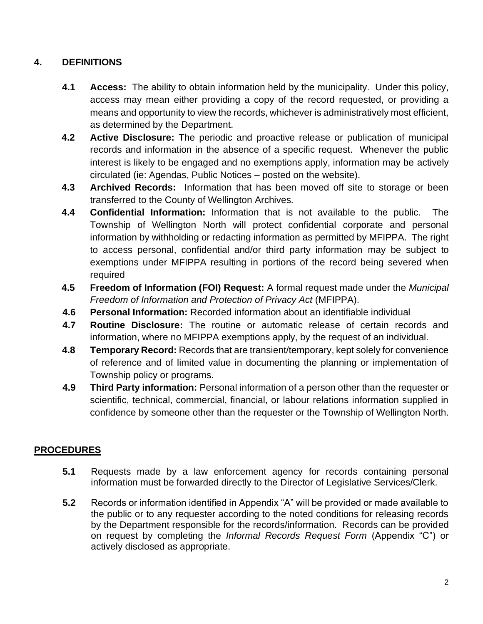# **4. DEFINITIONS**

- **4.1 Access:** The ability to obtain information held by the municipality. Under this policy, access may mean either providing a copy of the record requested, or providing a means and opportunity to view the records, whichever is administratively most efficient, as determined by the Department.
- **4.2 Active Disclosure:** The periodic and proactive release or publication of municipal records and information in the absence of a specific request. Whenever the public interest is likely to be engaged and no exemptions apply, information may be actively circulated (ie: Agendas, Public Notices – posted on the website).
- **4.3 Archived Records:** Information that has been moved off site to storage or been transferred to the County of Wellington Archives.
- **4.4 Confidential Information:** Information that is not available to the public. The Township of Wellington North will protect confidential corporate and personal information by withholding or redacting information as permitted by MFIPPA. The right to access personal, confidential and/or third party information may be subject to exemptions under MFIPPA resulting in portions of the record being severed when required
- **4.5 Freedom of Information (FOI) Request:** A formal request made under the *Municipal Freedom of Information and Protection of Privacy Act* (MFIPPA).
- **4.6 Personal Information:** Recorded information about an identifiable individual
- **4.7 Routine Disclosure:** The routine or automatic release of certain records and information, where no MFIPPA exemptions apply, by the request of an individual.
- **4.8 Temporary Record:** Records that are transient/temporary, kept solely for convenience of reference and of limited value in documenting the planning or implementation of Township policy or programs.
- **4.9 Third Party information:** Personal information of a person other than the requester or scientific, technical, commercial, financial, or labour relations information supplied in confidence by someone other than the requester or the Township of Wellington North.

# **5. PROCEDURES**

- **5.1** Requests made by a law enforcement agency for records containing personal information must be forwarded directly to the Director of Legislative Services/Clerk.
- **5.2** Records or information identified in Appendix "A" will be provided or made available to the public or to any requester according to the noted conditions for releasing records by the Department responsible for the records/information. Records can be provided on request by completing the *Informal Records Request Form* (Appendix "C") or actively disclosed as appropriate.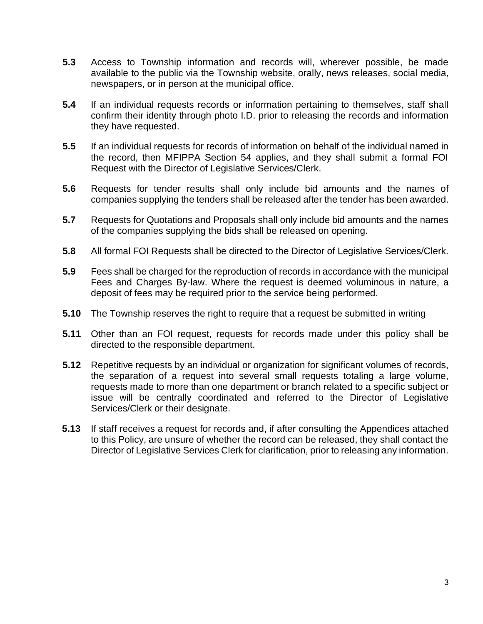- **5.3** Access to Township information and records will, wherever possible, be made available to the public via the Township website, orally, news releases, social media, newspapers, or in person at the municipal office.
- **5.4** If an individual requests records or information pertaining to themselves, staff shall confirm their identity through photo I.D. prior to releasing the records and information they have requested.
- **5.5** If an individual requests for records of information on behalf of the individual named in the record, then MFIPPA Section 54 applies, and they shall submit a formal FOI Request with the Director of Legislative Services/Clerk.
- **5.6** Requests for tender results shall only include bid amounts and the names of companies supplying the tenders shall be released after the tender has been awarded.
- **5.7** Requests for Quotations and Proposals shall only include bid amounts and the names of the companies supplying the bids shall be released on opening.
- **5.8** All formal FOI Requests shall be directed to the Director of Legislative Services/Clerk.
- **5.9** Fees shall be charged for the reproduction of records in accordance with the municipal Fees and Charges By-law. Where the request is deemed voluminous in nature, a deposit of fees may be required prior to the service being performed.
- **5.10** The Township reserves the right to require that a request be submitted in writing
- **5.11** Other than an FOI request, requests for records made under this policy shall be directed to the responsible department.
- **5.12** Repetitive requests by an individual or organization for significant volumes of records, the separation of a request into several small requests totaling a large volume, requests made to more than one department or branch related to a specific subject or issue will be centrally coordinated and referred to the Director of Legislative Services/Clerk or their designate.
- **5.13** If staff receives a request for records and, if after consulting the Appendices attached to this Policy, are unsure of whether the record can be released, they shall contact the Director of Legislative Services Clerk for clarification, prior to releasing any information.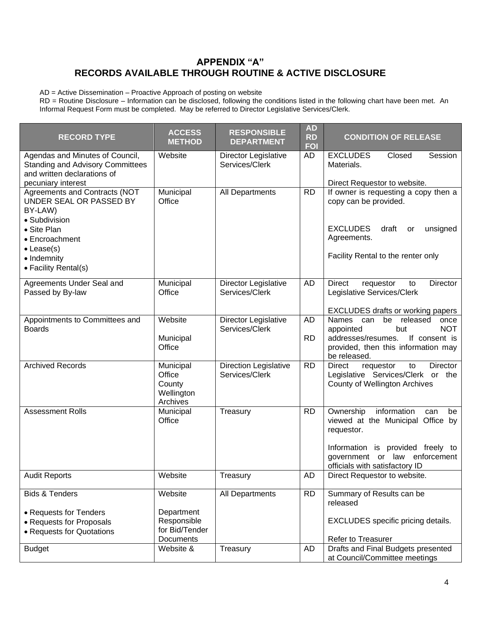### **APPENDIX "A" RECORDS AVAILABLE THROUGH ROUTINE & ACTIVE DISCLOSURE**

AD = Active Dissemination – Proactive Approach of posting on website

RD = Routine Disclosure – Information can be disclosed, following the conditions listed in the following chart have been met. An Informal Request Form must be completed. May be referred to Director Legislative Services/Clerk.

| <b>RECORD TYPE</b>                                                                                                                                                                 | <b>ACCESS</b><br><b>METHOD</b>                                      | <b>RESPONSIBLE</b><br><b>DEPARTMENT</b>        | <b>AD</b><br><b>RD</b><br><b>FOI</b> | <b>CONDITION OF RELEASE</b>                                                                                                                                                                         |
|------------------------------------------------------------------------------------------------------------------------------------------------------------------------------------|---------------------------------------------------------------------|------------------------------------------------|--------------------------------------|-----------------------------------------------------------------------------------------------------------------------------------------------------------------------------------------------------|
| Agendas and Minutes of Council,<br><b>Standing and Advisory Committees</b><br>and written declarations of<br>pecuniary interest                                                    | Website                                                             | Director Legislative<br>Services/Clerk         | AD                                   | <b>EXCLUDES</b><br>Closed<br>Session<br>Materials.<br>Direct Requestor to website.                                                                                                                  |
| Agreements and Contracts (NOT<br>UNDER SEAL OR PASSED BY<br>BY-LAW)<br>· Subdivision<br>• Site Plan<br>• Encroachment<br>$\bullet$ Lease(s)<br>• Indemnity<br>• Facility Rental(s) | Municipal<br>Office                                                 | All Departments                                | <b>RD</b>                            | If owner is requesting a copy then a<br>copy can be provided.<br><b>EXCLUDES</b><br>draft<br>unsigned<br>or<br>Agreements.<br>Facility Rental to the renter only                                    |
| Agreements Under Seal and<br>Passed by By-law                                                                                                                                      | Municipal<br>Office                                                 | Director Legislative<br>Services/Clerk         | <b>AD</b>                            | Director<br><b>Direct</b><br>requestor<br>to<br>Legislative Services/Clerk<br><b>EXCLUDES drafts or working papers</b>                                                                              |
| Appointments to Committees and<br><b>Boards</b>                                                                                                                                    | Website<br>Municipal<br>Office                                      | Director Legislative<br>Services/Clerk         | AD<br><b>RD</b>                      | released<br>Names can<br>be<br>once<br><b>NOT</b><br>appointed<br>but<br>addresses/resumes.<br>If consent is<br>provided, then this information may<br>be released.                                 |
| <b>Archived Records</b>                                                                                                                                                            | Municipal<br>Office<br>County<br>Wellington<br>Archives             | <b>Direction Legislative</b><br>Services/Clerk | <b>RD</b>                            | Director<br>Direct<br>requestor<br>to<br>Legislative Services/Clerk or the<br><b>County of Wellington Archives</b>                                                                                  |
| <b>Assessment Rolls</b>                                                                                                                                                            | Municipal<br>Office                                                 | Treasury                                       | <b>RD</b>                            | information<br>Ownership<br>be<br>can<br>viewed at the Municipal Office by<br>requestor.<br>Information is provided freely to<br>government or law<br>enforcement<br>officials with satisfactory ID |
| <b>Audit Reports</b>                                                                                                                                                               | Website                                                             | Treasurv                                       | AD                                   | Direct Requestor to website.                                                                                                                                                                        |
| <b>Bids &amp; Tenders</b><br>• Requests for Tenders<br>• Requests for Proposals<br>• Requests for Quotations                                                                       | Website<br>Department<br>Responsible<br>for Bid/Tender<br>Documents | All Departments                                | <b>RD</b>                            | Summary of Results can be<br>released<br>EXCLUDES specific pricing details.<br>Refer to Treasurer                                                                                                   |
| <b>Budget</b>                                                                                                                                                                      | Website &                                                           | Treasury                                       | AD                                   | Drafts and Final Budgets presented<br>at Council/Committee meetings                                                                                                                                 |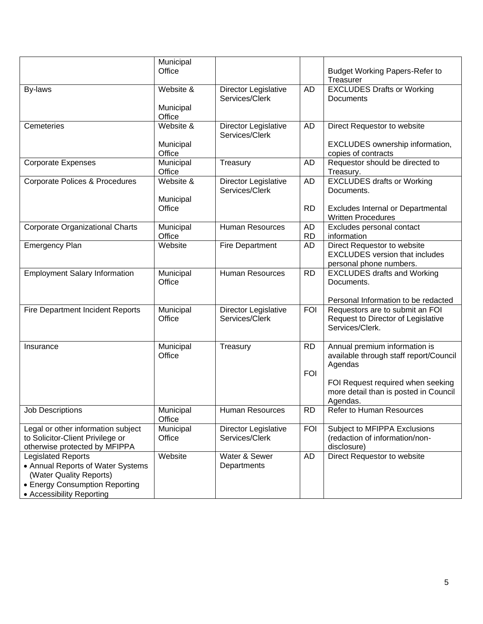|                                                                                                                                                          | Municipal<br>Office |                                        |                 | <b>Budget Working Papers-Refer to</b>                                                    |
|----------------------------------------------------------------------------------------------------------------------------------------------------------|---------------------|----------------------------------------|-----------------|------------------------------------------------------------------------------------------|
| By-laws                                                                                                                                                  | Website &           | Director Legislative                   | AD              | Treasurer<br><b>EXCLUDES Drafts or Working</b>                                           |
|                                                                                                                                                          |                     | Services/Clerk                         |                 | Documents                                                                                |
|                                                                                                                                                          | Municipal<br>Office |                                        |                 |                                                                                          |
| Cemeteries                                                                                                                                               | Website &           | Director Legislative<br>Services/Clerk | AD              | Direct Requestor to website                                                              |
|                                                                                                                                                          | Municipal<br>Office |                                        |                 | EXCLUDES ownership information,<br>copies of contracts                                   |
| <b>Corporate Expenses</b>                                                                                                                                | Municipal<br>Office | Treasury                               | AD              | Requestor should be directed to<br>Treasury.                                             |
| Corporate Polices & Procedures                                                                                                                           | Website &           | Director Legislative<br>Services/Clerk | AD              | <b>EXCLUDES drafts or Working</b><br>Documents.                                          |
|                                                                                                                                                          | Municipal           |                                        |                 |                                                                                          |
|                                                                                                                                                          | Office              |                                        | <b>RD</b>       | <b>Excludes Internal or Departmental</b><br><b>Written Procedures</b>                    |
| Corporate Organizational Charts                                                                                                                          | Municipal<br>Office | <b>Human Resources</b>                 | AD<br><b>RD</b> | Excludes personal contact<br>information                                                 |
| <b>Emergency Plan</b>                                                                                                                                    | Website             | Fire Department                        | AD              | Direct Requestor to website<br><b>EXCLUDES</b> version that includes                     |
| <b>Employment Salary Information</b>                                                                                                                     | Municipal           | Human Resources                        | <b>RD</b>       | personal phone numbers.<br><b>EXCLUDES drafts and Working</b>                            |
|                                                                                                                                                          | Office              |                                        |                 | Documents.                                                                               |
|                                                                                                                                                          |                     |                                        |                 | Personal Information to be redacted                                                      |
| <b>Fire Department Incident Reports</b>                                                                                                                  | Municipal<br>Office | Director Legislative<br>Services/Clerk | <b>FOI</b>      | Requestors are to submit an FOI<br>Request to Director of Legislative<br>Services/Clerk. |
| Insurance                                                                                                                                                | Municipal<br>Office | Treasury                               | RD.             | Annual premium information is<br>available through staff report/Council<br>Agendas       |
|                                                                                                                                                          |                     |                                        | <b>FOI</b>      |                                                                                          |
|                                                                                                                                                          |                     |                                        |                 | FOI Request required when seeking<br>more detail than is posted in Council<br>Agendas.   |
| <b>Job Descriptions</b>                                                                                                                                  | Municipal<br>Office | Human Resources                        | <b>RD</b>       | Refer to Human Resources                                                                 |
| Legal or other information subject<br>to Solicitor-Client Privilege or<br>otherwise protected by MFIPPA                                                  | Municipal<br>Office | Director Legislative<br>Services/Clerk | <b>FOI</b>      | Subject to MFIPPA Exclusions<br>(redaction of information/non-<br>disclosure)            |
| <b>Legislated Reports</b><br>• Annual Reports of Water Systems<br>(Water Quality Reports)<br>• Energy Consumption Reporting<br>• Accessibility Reporting | Website             | Water & Sewer<br>Departments           | AD              | Direct Requestor to website                                                              |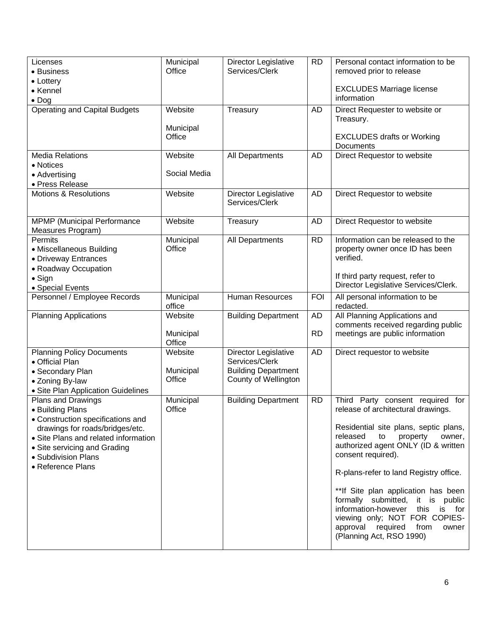| Licenses<br>• Business<br>• Lottery<br>• Kennel<br>$\bullet$ Dog                                                                                                                                                                   | Municipal<br>Office            | Director Legislative<br>Services/Clerk                                                       | <b>RD</b>              | Personal contact information to be<br>removed prior to release<br><b>EXCLUDES Marriage license</b><br>information                                                                                                                                                                                                                                                                                                                                                                        |
|------------------------------------------------------------------------------------------------------------------------------------------------------------------------------------------------------------------------------------|--------------------------------|----------------------------------------------------------------------------------------------|------------------------|------------------------------------------------------------------------------------------------------------------------------------------------------------------------------------------------------------------------------------------------------------------------------------------------------------------------------------------------------------------------------------------------------------------------------------------------------------------------------------------|
| <b>Operating and Capital Budgets</b>                                                                                                                                                                                               | Website<br>Municipal<br>Office | Treasury                                                                                     | AD                     | Direct Requester to website or<br>Treasury.<br><b>EXCLUDES drafts or Working</b><br>Documents                                                                                                                                                                                                                                                                                                                                                                                            |
| <b>Media Relations</b><br>• Notices<br>• Advertising<br>· Press Release                                                                                                                                                            | Website<br>Social Media        | All Departments                                                                              | AD                     | Direct Requestor to website                                                                                                                                                                                                                                                                                                                                                                                                                                                              |
| <b>Motions &amp; Resolutions</b>                                                                                                                                                                                                   | Website                        | Director Legislative<br>Services/Clerk                                                       | <b>AD</b>              | Direct Requestor to website                                                                                                                                                                                                                                                                                                                                                                                                                                                              |
| <b>MPMP</b> (Municipal Performance<br>Measures Program)                                                                                                                                                                            | Website                        | Treasury                                                                                     | <b>AD</b>              | Direct Requestor to website                                                                                                                                                                                                                                                                                                                                                                                                                                                              |
| Permits<br>• Miscellaneous Building<br>• Driveway Entrances<br>• Roadway Occupation                                                                                                                                                | Municipal<br>Office            | All Departments                                                                              | <b>RD</b>              | Information can be released to the<br>property owner once ID has been<br>verified.<br>If third party request, refer to                                                                                                                                                                                                                                                                                                                                                                   |
| $\bullet$ Sign<br>· Special Events                                                                                                                                                                                                 |                                |                                                                                              |                        | Director Legislative Services/Clerk.                                                                                                                                                                                                                                                                                                                                                                                                                                                     |
| Personnel / Employee Records                                                                                                                                                                                                       | Municipal<br>office            | <b>Human Resources</b>                                                                       | <b>FOI</b>             | All personal information to be<br>redacted.                                                                                                                                                                                                                                                                                                                                                                                                                                              |
| <b>Planning Applications</b>                                                                                                                                                                                                       | Website<br>Municipal<br>Office | <b>Building Department</b>                                                                   | <b>AD</b><br><b>RD</b> | All Planning Applications and<br>comments received regarding public<br>meetings are public information                                                                                                                                                                                                                                                                                                                                                                                   |
| <b>Planning Policy Documents</b><br>• Official Plan<br>• Secondary Plan<br>• Zoning By-law<br>· Site Plan Application Guidelines                                                                                                   | Website<br>Municipal<br>Office | Director Legislative<br>Services/Clerk<br><b>Building Department</b><br>County of Wellington | AD                     | Direct requestor to website                                                                                                                                                                                                                                                                                                                                                                                                                                                              |
| Plans and Drawings<br>• Building Plans<br>• Construction specifications and<br>drawings for roads/bridges/etc.<br>• Site Plans and related information<br>• Site servicing and Grading<br>• Subdivision Plans<br>• Reference Plans | Municipal<br>Office            | <b>Building Department</b>                                                                   | <b>RD</b>              | Third Party consent required for<br>release of architectural drawings.<br>Residential site plans, septic plans,<br>released<br>to<br>property<br>owner,<br>authorized agent ONLY (ID & written<br>consent required).<br>R-plans-refer to land Registry office.<br>**If Site plan application has been<br>formally submitted, it is<br>public<br>information-however<br>this<br>is for<br>viewing only; NOT FOR COPIES-<br>approval required<br>from<br>owner<br>(Planning Act, RSO 1990) |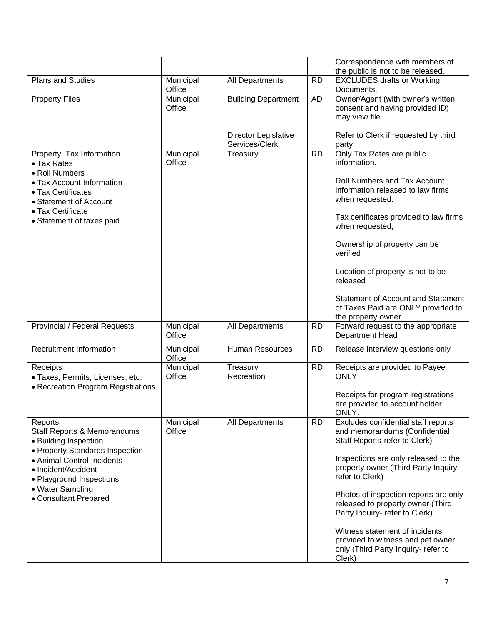|                                                                                                                                                                                                                                  |                     |                                        |           | Correspondence with members of<br>the public is not to be released.                                                                                                                                                                                                                                                                                                                                                                              |
|----------------------------------------------------------------------------------------------------------------------------------------------------------------------------------------------------------------------------------|---------------------|----------------------------------------|-----------|--------------------------------------------------------------------------------------------------------------------------------------------------------------------------------------------------------------------------------------------------------------------------------------------------------------------------------------------------------------------------------------------------------------------------------------------------|
| Plans and Studies                                                                                                                                                                                                                | Municipal<br>Office | All Departments                        | <b>RD</b> | <b>EXCLUDES drafts or Working</b><br>Documents.                                                                                                                                                                                                                                                                                                                                                                                                  |
| <b>Property Files</b>                                                                                                                                                                                                            | Municipal<br>Office | <b>Building Department</b>             | <b>AD</b> | Owner/Agent (with owner's written<br>consent and having provided ID)<br>may view file                                                                                                                                                                                                                                                                                                                                                            |
|                                                                                                                                                                                                                                  |                     | Director Legislative<br>Services/Clerk |           | Refer to Clerk if requested by third<br>party.                                                                                                                                                                                                                                                                                                                                                                                                   |
| Property Tax Information<br>• Tax Rates<br>• Roll Numbers<br>• Tax Account Information<br>• Tax Certificates<br>• Statement of Account<br>• Tax Certificate<br>• Statement of taxes paid                                         | Municipal<br>Office | Treasury                               | <b>RD</b> | Only Tax Rates are public<br>information.<br>Roll Numbers and Tax Account<br>information released to law firms<br>when requested.<br>Tax certificates provided to law firms<br>when requested,<br>Ownership of property can be<br>verified<br>Location of property is not to be<br>released<br>Statement of Account and Statement<br>of Taxes Paid are ONLY provided to<br>the property owner.                                                   |
| Provincial / Federal Requests                                                                                                                                                                                                    | Municipal<br>Office | All Departments                        | <b>RD</b> | Forward request to the appropriate<br>Department Head                                                                                                                                                                                                                                                                                                                                                                                            |
| <b>Recruitment Information</b>                                                                                                                                                                                                   | Municipal<br>Office | Human Resources                        | <b>RD</b> | Release Interview questions only                                                                                                                                                                                                                                                                                                                                                                                                                 |
| Receipts<br>· Taxes, Permits, Licenses, etc.<br>• Recreation Program Registrations                                                                                                                                               | Municipal<br>Office | Treasury<br>Recreation                 | <b>RD</b> | Receipts are provided to Payee<br><b>ONLY</b><br>Receipts for program registrations<br>are provided to account holder<br>ONLY.                                                                                                                                                                                                                                                                                                                   |
| Reports<br>Staff Reports & Memorandums<br>• Building Inspection<br>• Property Standards Inspection<br>• Animal Control Incidents<br>• Incident/Accident<br>• Playground Inspections<br>• Water Sampling<br>• Consultant Prepared | Municipal<br>Office | All Departments                        | <b>RD</b> | Excludes confidential staff reports<br>and memorandums (Confidential<br>Staff Reports-refer to Clerk)<br>Inspections are only released to the<br>property owner (Third Party Inquiry-<br>refer to Clerk)<br>Photos of inspection reports are only<br>released to property owner (Third<br>Party Inquiry- refer to Clerk)<br>Witness statement of incidents<br>provided to witness and pet owner<br>only (Third Party Inquiry- refer to<br>Clerk) |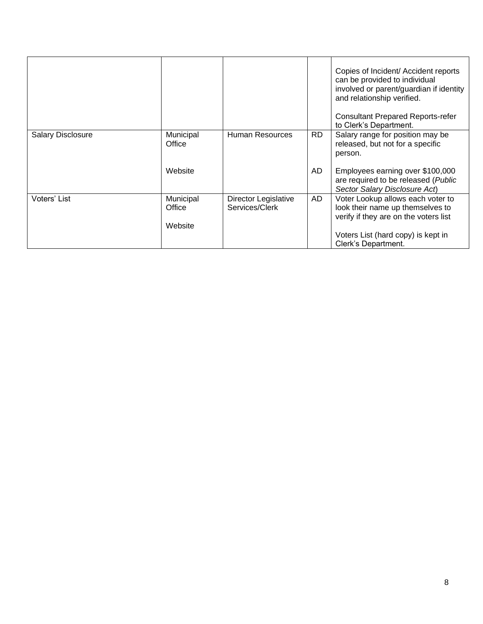|                          |                                |                                        |     | Copies of Incident/ Accident reports<br>can be provided to individual<br>involved or parent/guardian if identity<br>and relationship verified.<br><b>Consultant Prepared Reports-refer</b><br>to Clerk's Department. |
|--------------------------|--------------------------------|----------------------------------------|-----|----------------------------------------------------------------------------------------------------------------------------------------------------------------------------------------------------------------------|
| <b>Salary Disclosure</b> | Municipal<br>Office            | Human Resources                        | RD. | Salary range for position may be<br>released, but not for a specific<br>person.                                                                                                                                      |
|                          | Website                        |                                        | AD. | Employees earning over \$100,000<br>are required to be released (Public<br>Sector Salary Disclosure Act)                                                                                                             |
| Voters' List             | Municipal<br>Office<br>Website | Director Legislative<br>Services/Clerk | AD  | Voter Lookup allows each voter to<br>look their name up themselves to<br>verify if they are on the voters list<br>Voters List (hard copy) is kept in<br>Clerk's Department.                                          |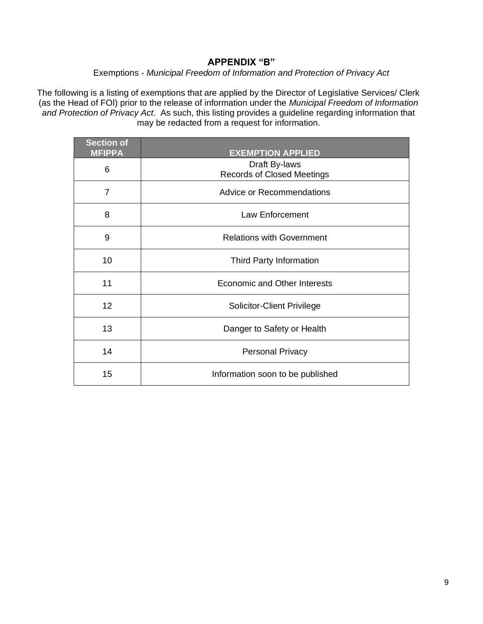### **APPENDIX "B"**

### Exemptions - *Municipal Freedom of Information and Protection of Privacy Act*

The following is a listing of exemptions that are applied by the Director of Legislative Services/ Clerk (as the Head of FOI) prior to the release of information under the *Municipal Freedom of Information and Protection of Privacy Act*. As such, this listing provides a guideline regarding information that may be redacted from a request for information.

| <b>Section of</b><br><b>MFIPPA</b> | <b>EXEMPTION APPLIED</b>                           |
|------------------------------------|----------------------------------------------------|
| 6                                  | Draft By-laws<br><b>Records of Closed Meetings</b> |
| 7                                  | Advice or Recommendations                          |
| 8                                  | Law Enforcement                                    |
| 9                                  | <b>Relations with Government</b>                   |
| 10                                 | Third Party Information                            |
| 11                                 | Economic and Other Interests                       |
| 12                                 | <b>Solicitor-Client Privilege</b>                  |
| 13                                 | Danger to Safety or Health                         |
| 14                                 | <b>Personal Privacy</b>                            |
| 15                                 | Information soon to be published                   |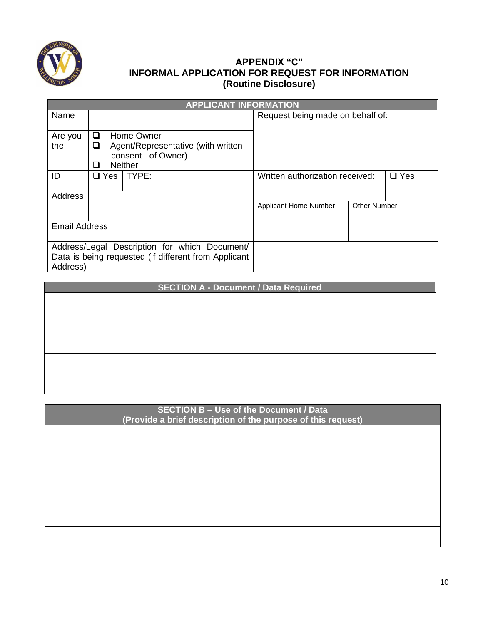

## **APPENDIX "C" INFORMAL APPLICATION FOR REQUEST FOR INFORMATION (Routine Disclosure)**

|                      |   |               | <b>APPLICANT INFORMATION</b>                         |                                  |                     |               |
|----------------------|---|---------------|------------------------------------------------------|----------------------------------|---------------------|---------------|
| Name                 |   |               |                                                      | Request being made on behalf of: |                     |               |
| Are you              | □ |               | Home Owner                                           |                                  |                     |               |
| the                  | ❏ |               | Agent/Representative (with written                   |                                  |                     |               |
|                      |   |               | consent of Owner)                                    |                                  |                     |               |
|                      | ப |               | <b>Neither</b>                                       |                                  |                     |               |
| ID                   |   | $\square$ Yes | TYPE:                                                | Written authorization received:  |                     | $\square$ Yes |
|                      |   |               |                                                      |                                  |                     |               |
| Address              |   |               |                                                      |                                  |                     |               |
|                      |   |               |                                                      | Applicant Home Number            | <b>Other Number</b> |               |
|                      |   |               |                                                      |                                  |                     |               |
| <b>Email Address</b> |   |               |                                                      |                                  |                     |               |
|                      |   |               |                                                      |                                  |                     |               |
|                      |   |               | Address/Legal Description for which Document/        |                                  |                     |               |
|                      |   |               | Data is being requested (if different from Applicant |                                  |                     |               |
| Address)             |   |               |                                                      |                                  |                     |               |

| <b>SECTION A - Document / Data Required</b> |  |  |  |  |
|---------------------------------------------|--|--|--|--|
|                                             |  |  |  |  |
|                                             |  |  |  |  |
|                                             |  |  |  |  |
|                                             |  |  |  |  |
|                                             |  |  |  |  |
|                                             |  |  |  |  |
|                                             |  |  |  |  |
|                                             |  |  |  |  |
|                                             |  |  |  |  |
|                                             |  |  |  |  |

| <b>SECTION B - Use of the Document / Data</b><br>(Provide a brief description of the purpose of this request) |  |
|---------------------------------------------------------------------------------------------------------------|--|
|                                                                                                               |  |
|                                                                                                               |  |
|                                                                                                               |  |
|                                                                                                               |  |
|                                                                                                               |  |
|                                                                                                               |  |